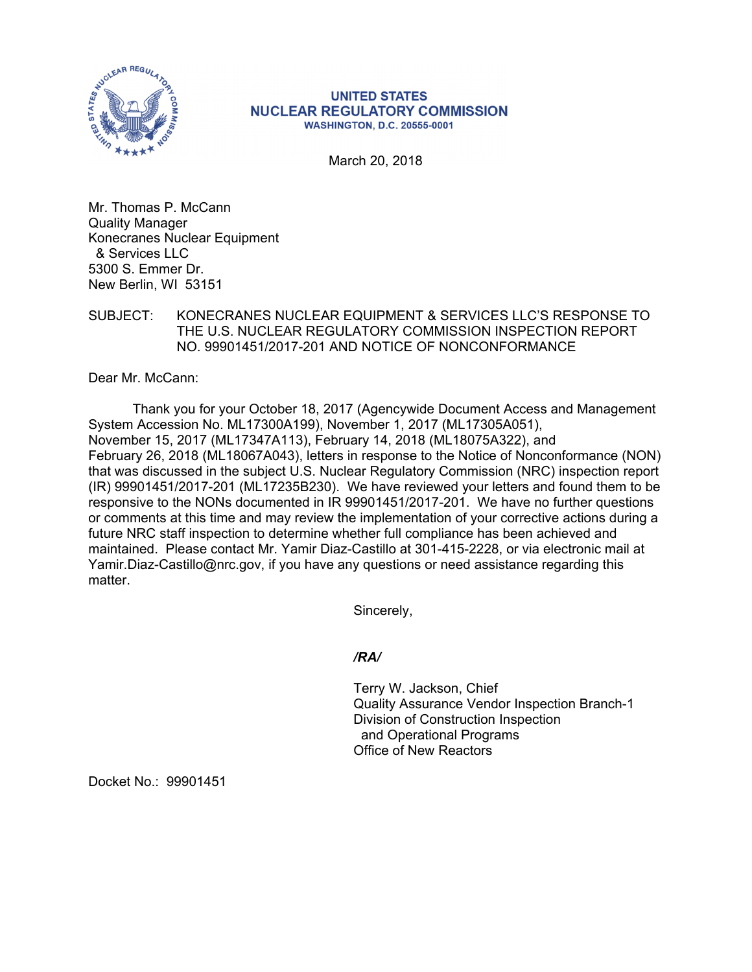

## **UNITED STATES NUCLEAR REGULATORY COMMISSION WASHINGTON, D.C. 20555-0001**

March 20, 2018

Mr. Thomas P. McCann Quality Manager Konecranes Nuclear Equipment & Services LLC 5300 S. Emmer Dr. New Berlin, WI 53151

## SUBJECT: KONECRANES NUCLEAR EQUIPMENT & SERVICES LLC'S RESPONSE TO THE U.S. NUCLEAR REGULATORY COMMISSION INSPECTION REPORT NO. 99901451/2017-201 AND NOTICE OF NONCONFORMANCE

Dear Mr. McCann:

Thank you for your October 18, 2017 (Agencywide Document Access and Management System Accession No. ML17300A199), November 1, 2017 (ML17305A051), November 15, 2017 (ML17347A113), February 14, 2018 (ML18075A322), and February 26, 2018 (ML18067A043), letters in response to the Notice of Nonconformance (NON) that was discussed in the subject U.S. Nuclear Regulatory Commission (NRC) inspection report (IR) 99901451/2017-201 (ML17235B230). We have reviewed your letters and found them to be responsive to the NONs documented in IR 99901451/2017-201. We have no further questions or comments at this time and may review the implementation of your corrective actions during a future NRC staff inspection to determine whether full compliance has been achieved and maintained. Please contact Mr. Yamir Diaz-Castillo at 301-415-2228, or via electronic mail at Yamir.Diaz-Castillo@nrc.gov, if you have any questions or need assistance regarding this matter.

Sincerely,

*/RA/* 

Terry W. Jackson, Chief Quality Assurance Vendor Inspection Branch-1 Division of Construction Inspection and Operational Programs Office of New Reactors

Docket No.: 99901451